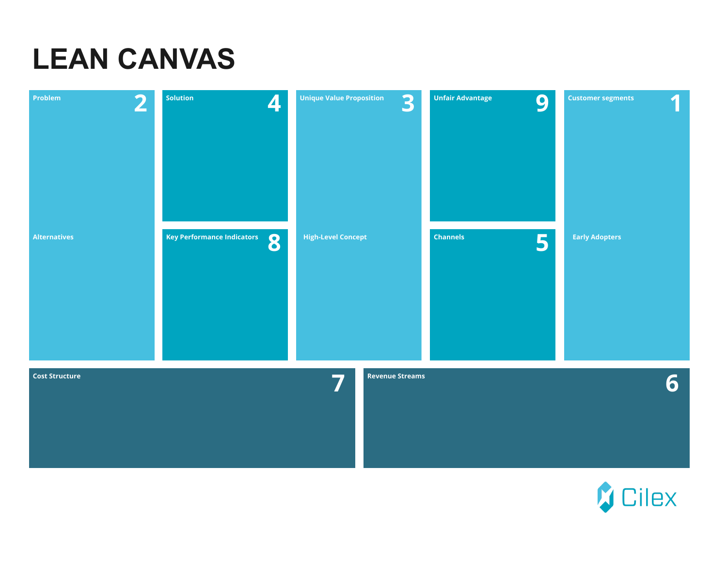

**5**





## **LEAN CANVAS**